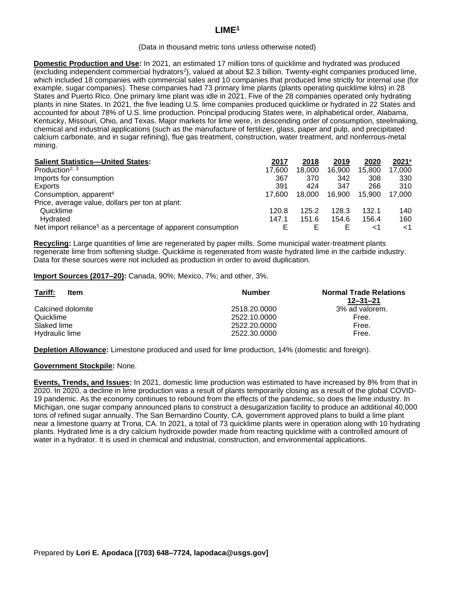# **LIME<sup>1</sup>**

#### (Data in thousand metric tons unless otherwise noted)

**Domestic Production and Use:** In 2021, an estimated 17 million tons of quicklime and hydrated was produced (excluding independent commercial hydrators<sup>2</sup>), valued at about \$2.3 billion. Twenty-eight companies produced lime, which included 18 companies with commercial sales and 10 companies that produced lime strictly for internal use (for example, sugar companies). These companies had 73 primary lime plants (plants operating quicklime kilns) in 28 States and Puerto Rico. One primary lime plant was idle in 2021. Five of the 28 companies operated only hydrating plants in nine States. In 2021, the five leading U.S. lime companies produced quicklime or hydrated in 22 States and accounted for about 78% of U.S. lime production. Principal producing States were, in alphabetical order, Alabama, Kentucky, Missouri, Ohio, and Texas. Major markets for lime were, in descending order of consumption, steelmaking, chemical and industrial applications (such as the manufacture of fertilizer, glass, paper and pulp, and precipitated calcium carbonate, and in sugar refining), flue gas treatment, construction, water treatment, and nonferrous-metal mining.

| <b>Salient Statistics-United States:</b>                                 | 2017   | 2018   | 2019   | 2020   | 2021 <sup>e</sup> |
|--------------------------------------------------------------------------|--------|--------|--------|--------|-------------------|
| Production <sup>2, 3</sup>                                               | 17.600 | 18,000 | 16.900 | 15.800 | 17,000            |
| Imports for consumption                                                  | 367    | 370    | 342    | 308    | 330               |
| Exports                                                                  | 391    | 424    | 347    | 266    | 310               |
| Consumption, apparent <sup>4</sup>                                       | 17.600 | 18,000 | 16.900 | 15.900 | 17.000            |
| Price, average value, dollars per ton at plant:                          |        |        |        |        |                   |
| Quicklime                                                                | 120.8  | 125.2  | 128.3  | 132.1  | 140               |
| Hydrated                                                                 | 147.1  | 151.6  | 154.6  | 156.4  | 160               |
| Net import reliance <sup>5</sup> as a percentage of apparent consumption |        |        |        | $<$ 1  | ا>>               |

**Recycling:** Large quantities of lime are regenerated by paper mills. Some municipal water-treatment plants regenerate lime from softening sludge. Quicklime is regenerated from waste hydrated lime in the carbide industry. Data for these sources were not included as production in order to avoid duplication.

### **Import Sources (2017–20):** Canada, 90%; Mexico, 7%; and other, 3%.

| Tariff:<br>Item   | <b>Number</b> | <b>Normal Trade Relations</b><br>$12 - 31 - 21$ |
|-------------------|---------------|-------------------------------------------------|
| Calcined dolomite | 2518.20.0000  | 3% ad valorem.                                  |
| Quicklime         | 2522.10.0000  | Free.                                           |
| Slaked lime       | 2522.20.0000  | Free.                                           |
| Hydraulic lime    | 2522.30.0000  | Free.                                           |

**Depletion Allowance:** Limestone produced and used for lime production, 14% (domestic and foreign).

## **Government Stockpile:** None.

**Events, Trends, and Issues:** In 2021, domestic lime production was estimated to have increased by 8% from that in 2020. In 2020, a decline in lime production was a result of plants temporarily closing as a result of the global COVID-19 pandemic. As the economy continues to rebound from the effects of the pandemic, so does the lime industry. In Michigan, one sugar company announced plans to construct a desugarization facility to produce an additional 40,000 tons of refined sugar annually. The San Bernardino County, CA, government approved plans to build a lime plant near a limestone quarry at Trona, CA. In 2021, a total of 73 quicklime plants were in operation along with 10 hydrating plants. Hydrated lime is a dry calcium hydroxide powder made from reacting quicklime with a controlled amount of water in a hydrator. It is used in chemical and industrial, construction, and environmental applications.